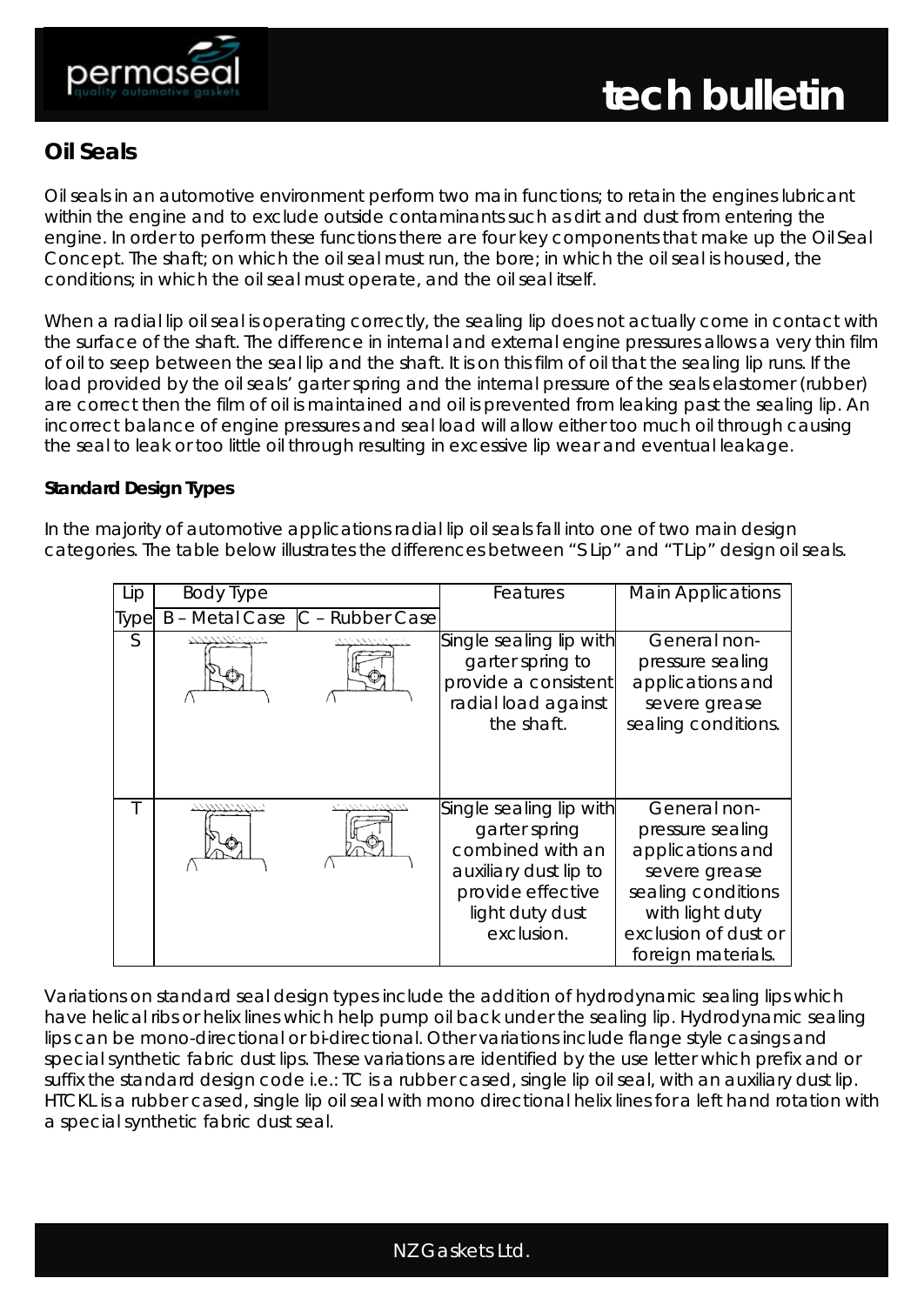

# **Oil Seals**

Oil seals in an automotive environment perform two main functions; to retain the engines lubricant within the engine and to exclude outside contaminants such as dirt and dust from entering the engine. In order to perform these functions there are four key components that make up the Oil Seal Concept. The shaft; on which the oil seal must run, the bore; in which the oil seal is housed, the conditions; in which the oil seal must operate, and the oil seal itself.

When a radial lip oil seal is operating correctly, the sealing lip does not actually come in contact with the surface of the shaft. The difference in internal and external engine pressures allows a very thin film of oil to seep between the seal lip and the shaft. It is on this film of oil that the sealing lip runs. If the load provided by the oil seals' garter spring and the internal pressure of the seals elastomer (rubber) are correct then the film of oil is maintained and oil is prevented from leaking past the sealing lip. An incorrect balance of engine pressures and seal load will allow either too much oil through causing the seal to leak or too little oil through resulting in excessive lip wear and eventual leakage.

# **Standard Design Types**

In the majority of automotive applications radial lip oil seals fall into one of two main design categories. The table below illustrates the differences between "S Lip" and "T Lip" design oil seals.

| Lip         | <b>Body Type</b> |                                | Features                                                                                                                                    | <b>Main Applications</b>                                                                                                                                     |
|-------------|------------------|--------------------------------|---------------------------------------------------------------------------------------------------------------------------------------------|--------------------------------------------------------------------------------------------------------------------------------------------------------------|
| <b>Type</b> |                  | B - Metal Case C - Rubber Case |                                                                                                                                             |                                                                                                                                                              |
| S           |                  |                                | Single sealing lip with<br>garter spring to<br>provide a consistent<br>radial load against<br>the shaft.                                    | General non-<br>pressure sealing<br>applications and<br>severe grease<br>sealing conditions.                                                                 |
|             | アンプリントランテント      | 1211221221212                  | Single sealing lip with<br>garter spring<br>combined with an<br>auxiliary dust lip to<br>provide effective<br>light duty dust<br>exclusion. | General non-<br>pressure sealing<br>applications and<br>severe grease<br>sealing conditions<br>with light duty<br>exclusion of dust or<br>foreign materials. |

Variations on standard seal design types include the addition of hydrodynamic sealing lips which have helical ribs or helix lines which help pump oil back under the sealing lip. Hydrodynamic sealing lips can be mono-directional or bi-directional. Other variations include flange style casings and special synthetic fabric dust lips. These variations are identified by the use letter which prefix and or suffix the standard design code i.e.: TC is a rubber cased, single lip oil seal, with an auxiliary dust lip. HTCKL is a rubber cased, single lip oil seal with mono directional helix lines for a left hand rotation with a special synthetic fabric dust seal.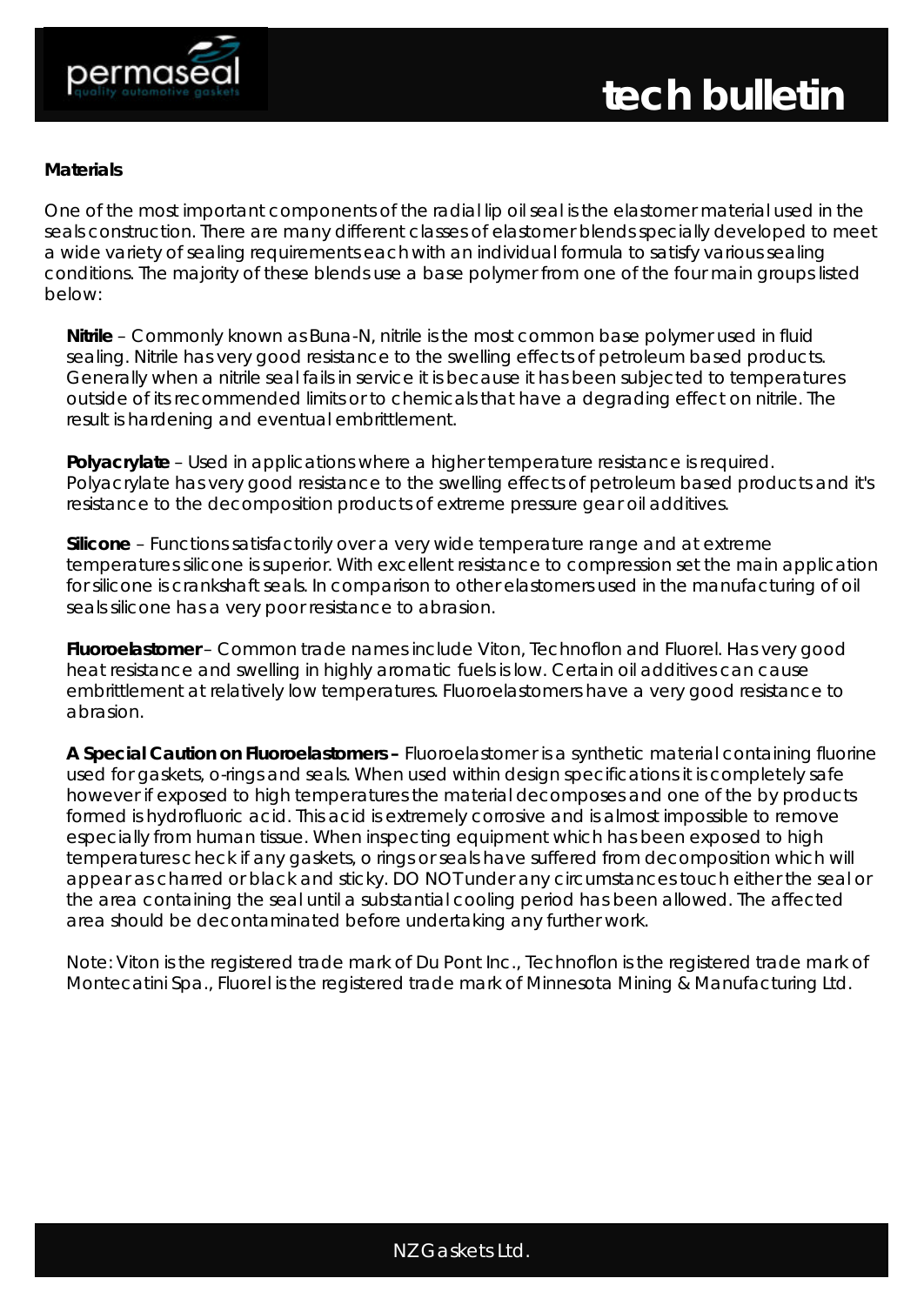

#### **Materials**

One of the most important components of the radial lip oil seal is the elastomer material used in the seals construction. There are many different classes of elastomer blends specially developed to meet a wide variety of sealing requirements each with an individual formula to satisfy various sealing conditions. The majority of these blends use a base polymer from one of the four main groups listed below:

**Nitrile** – Commonly known as Buna-N, nitrile is the most common base polymer used in fluid sealing. Nitrile has very good resistance to the swelling effects of petroleum based products. Generally when a nitrile seal fails in service it is because it has been subjected to temperatures outside of its recommended limits or to chemicals that have a degrading effect on nitrile. The result is hardening and eventual embrittlement.

**Polyacrylate** – Used in applications where a higher temperature resistance is required. Polyacrylate has very good resistance to the swelling effects of petroleum based products and it's resistance to the decomposition products of extreme pressure gear oil additives.

**Silicone** – Functions satisfactorily over a very wide temperature range and at extreme temperatures silicone is superior. With excellent resistance to compression set the main application for silicone is crankshaft seals. In comparison to other elastomers used in the manufacturing of oil seals silicone has a very poor resistance to abrasion.

**Fluoroelastomer** – Common trade names include Viton, Technoflon and Fluorel. Has very good heat resistance and swelling in highly aromatic fuels is low. Certain oil additives can cause embrittlement at relatively low temperatures. Fluoroelastomers have a very good resistance to abrasion.

**A Special Caution on Fluoroelastomers –** Fluoroelastomer is a synthetic material containing fluorine used for gaskets, o-rings and seals. When used within design specifications it is completely safe however if exposed to high temperatures the material decomposes and one of the by products formed is hydrofluoric acid. This acid is extremely corrosive and is almost impossible to remove especially from human tissue. When inspecting equipment which has been exposed to high temperatures check if any gaskets, o rings or seals have suffered from decomposition which will appear as charred or black and sticky. DO NOT under any circumstances touch either the seal or the area containing the seal until a substantial cooling period has been allowed. The affected area should be decontaminated before undertaking any further work.

Note: Viton is the registered trade mark of Du Pont Inc., Technoflon is the registered trade mark of Montecatini Spa., Fluorel is the registered trade mark of Minnesota Mining & Manufacturing Ltd.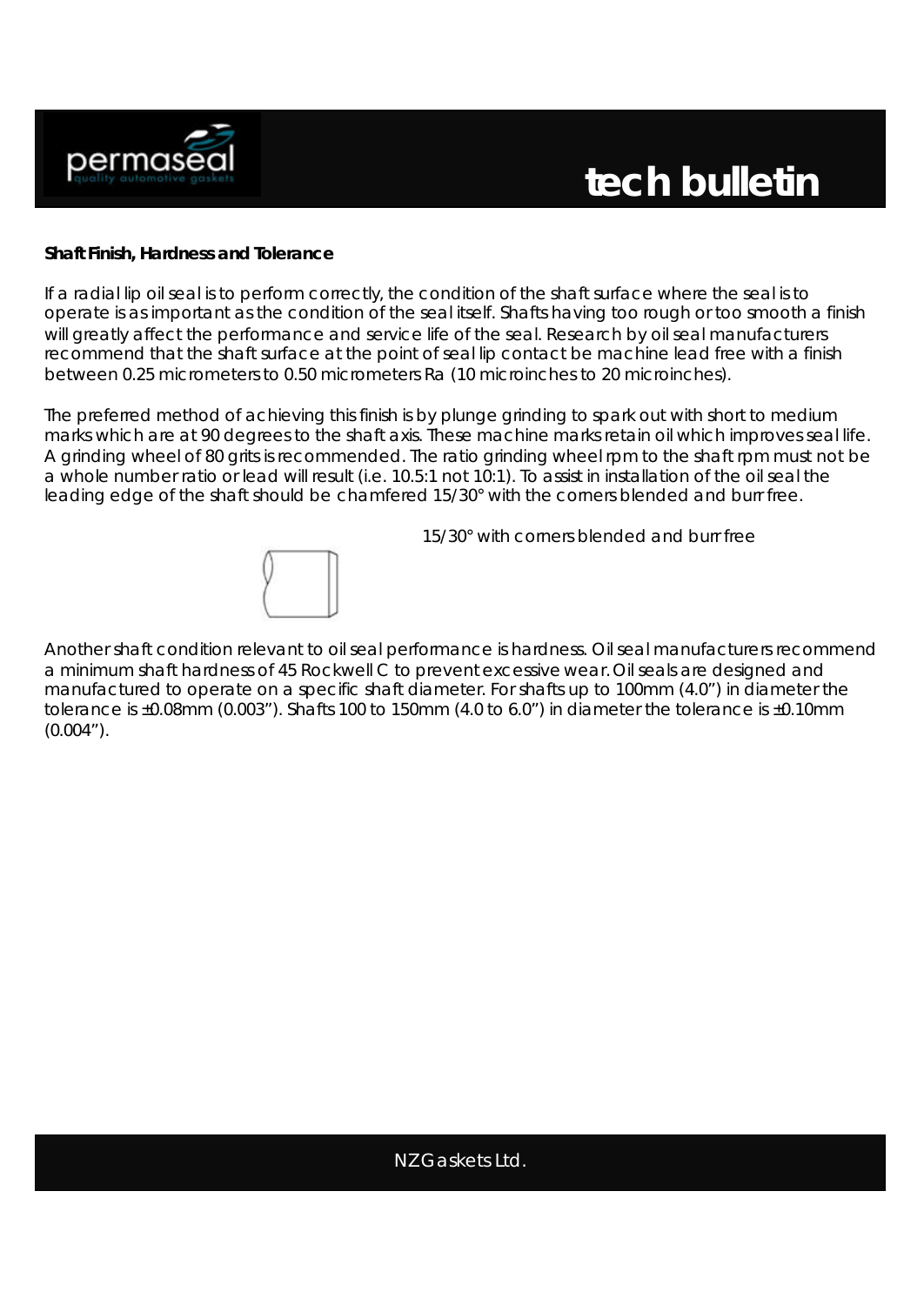

#### **Shaft Finish, Hardness and Tolerance**

If a radial lip oil seal is to perform correctly, the condition of the shaft surface where the seal is to operate is as important as the condition of the seal itself. Shafts having too rough or too smooth a finish will greatly affect the performance and service life of the seal. Research by oil seal manufacturers recommend that the shaft surface at the point of seal lip contact be machine lead free with a finish between 0.25 micrometers to 0.50 micrometers Ra (10 microinches to 20 microinches).

The preferred method of achieving this finish is by plunge grinding to spark out with short to medium marks which are at 90 degrees to the shaft axis. These machine marks retain oil which improves seal life. A grinding wheel of 80 grits is recommended. The ratio grinding wheel rpm to the shaft rpm must not be a whole number ratio or lead will result (i.e. 10.5:1 not 10:1). To assist in installation of the oil seal the leading edge of the shaft should be chamfered 15/30° with the corners blended and burr free.



15/30° with corners blended and burr free

Another shaft condition relevant to oil seal performance is hardness. Oil seal manufacturers recommend a minimum shaft hardness of 45 Rockwell C to prevent excessive wear.Oil seals are designed and manufactured to operate on a specific shaft diameter. For shafts up to 100mm (4.0") in diameter the tolerance is ±0.08mm (0.003"). Shafts 100 to 150mm (4.0 to 6.0") in diameter the tolerance is ±0.10mm (0.004").

# NZ Gaskets Ltd.